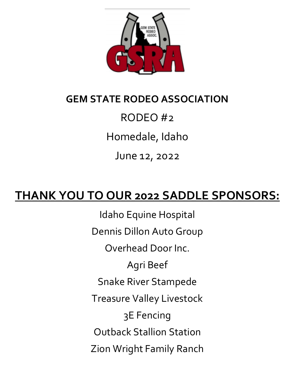

# **GEM STATE RODEO ASSOCIATION**

# RODEO #2

Homedale, Idaho

June 12, 2022

# **THANK YOU TO OUR 2022 SADDLE SPONSORS:**

Idaho Equine Hospital Dennis Dillon Auto Group Overhead Door Inc. Agri Beef Snake River Stampede Treasure Valley Livestock 3E Fencing Outback Stallion Station Zion Wright Family Ranch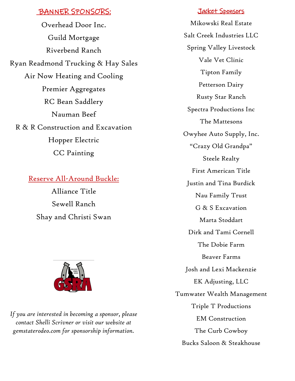### BANNER SPONSORS:

Overhead Door Inc. Guild Mortgage Riverbend Ranch Ryan Readmond Trucking & Hay Sales Air Now Heating and Cooling Premier Aggregates RC Bean Saddlery Nauman Beef R & R Construction and Excavation Hopper Electric CC Painting

### Reserve All-Around Buckle:

Alliance Title Sewell Ranch Shay and Christi Swan



*If you are interested in becoming a sponsor, please contact Shelli Scrivner or visit our website at gemstaterodeo.com for sponsorship information.*

### Jacket Sponsors

Mikowski Real Estate Salt Creek Industries LLC Spring Valley Livestock Vale Vet Clinic Tipton Family Petterson Dairy Rusty Star Ranch Spectra Productions Inc The Mattesons Owyhee Auto Supply, Inc. "Crazy Old Grandpa" Steele Realty First American Title Justin and Tina Burdick Nau Family Trust G & S Excavation Marta Stoddart Dirk and Tami Cornell The Dobie Farm Beaver Farms Josh and Lexi Mackenzie EK Adjusting, LLC Tumwater Wealth Management Triple T Productions EM Construction The Curb Cowboy Bucks Saloon & Steakhouse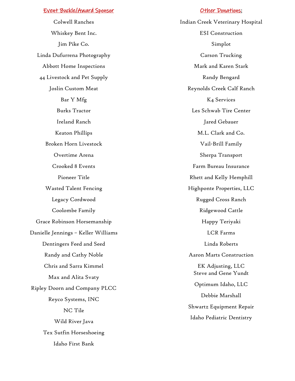#### Event Buckle/Award Sponsor

Colwell Ranches Whiskey Bent Inc. Jim Pike Co. Linda Dufurrena Photography Abbott Home Inspections 44 Livestock and Pet Supply Joslin Custom Meat Bar Y Mfg Burks Tractor Ireland Ranch Keaton Phillips Broken Horn Livestock Overtime Arena Crooked 8 Events Pioneer Title Wasted Talent Fencing Legacy Cordwood Coolombe Family Grace Robinson Horsemanship Danielle Jennings – Keller Williams Dentingers Feed and Seed Randy and Cathy Noble Chris and Sarra Kimmel Max and Alita Svaty Ripley Doorn and Company PLCC Reyco Systems, INC NC Tile Wild River Java Tex Sutfin Horseshoeing Idaho First Bank

#### **Other Donations:**

Indian Creek Veterinary Hospital ESI Construction Simplot Carson Trucking Mark and Karen Stark Randy Bengard Reynolds Creek Calf Ranch K4 Services Les Schwab Tire Center Jared Gebauer M.L. Clark and Co. Vail-Brill Family Sherpa Transport Farm Bureau Insurance Rhett and Kelly Hemphill Highponte Properties, LLC Rugged Cross Ranch Ridgewood Cattle Happy Teriyaki LCR Farms Linda Roberts Aaron Marts Construction EK Adjusting, LLC Steve and Gene Yundt Optimum Idaho, LLC Debbie Marshall Shwartz Equipment Repair Idaho Pediatric Dentistry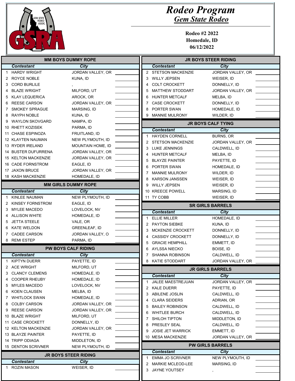

| <b>MM BOYS DUMMY ROPE</b> |                                             |                                   |   | <b>JR BOYS STEER RIDING</b> |                           |  |
|---------------------------|---------------------------------------------|-----------------------------------|---|-----------------------------|---------------------------|--|
|                           | <b>Contestant</b>                           | <b>City</b>                       |   | <b>Contestant</b>           | City                      |  |
| 1.                        | <b>HARDY WRIGHT</b>                         | JORDAN VALLEY, OR                 |   | 2 STETSON MACKENZIE         | JORDAN VALLEY, OR         |  |
| 2                         | ROYCE NOBLE                                 | KUNA, ID                          | 3 | <b>WILLY JEPSEN</b>         | WEISER, ID                |  |
| 3                         | <b>CORD BURLILE</b>                         |                                   | 4 | <b>COLT CROCKETT</b>        | DONNELLY, ID              |  |
| 4                         | BLAZE WRIGHT                                | MILFORD, UT                       | 5 | <b>MATTHEW STODDART</b>     | JORDAN VALLEY, OR         |  |
| 5.                        | <b>KLAY LEQUERICA</b>                       | AROCK, OR                         | 6 | <b>HUNTER METCALF</b>       | MELBA, ID                 |  |
| 6                         | <b>REESE CARSON</b>                         | JORDAN VALLEY, OR                 | 7 | <b>CASE CROCKETT</b>        | DONNELLY, ID              |  |
|                           | <b>SMOKEY SPRAGUE</b>                       | MARSING, ID                       | 8 | PORTER SWAN                 | HOMEDALE, ID              |  |
| 8                         | <b>RAYPH NOBLE</b>                          | KUNA, ID                          | 9 | <b>MANNIE MULRONY</b>       | WILDER, ID                |  |
| 9                         | <b>WAYLON SKOVGARD</b>                      | NAMPA, ID                         |   |                             |                           |  |
|                           | 10 RHETT KOZISEK                            | PARMA, ID                         |   |                             | <b>JR BOYS CALF TYING</b> |  |
|                           | 11 CHASE ESPINOZA                           | FRUITLAND, ID                     |   | <b>Contestant</b>           | <b>City</b>               |  |
|                           | 12 KLAYTEN NAUMAN                           | NEW PLYMOUTH, ID                  | 1 | <b>HAYDEN CORNELL</b>       | <b>BURNS, OR</b>          |  |
|                           | 13 RYDER IRELAND                            | MOUNTAIN HOME, ID                 | 2 | <b>STETSON MACKENZIE</b>    | JORDAN VALLEY, OR         |  |
|                           | 14 BUSTER DUFURRENA                         | JORDAN VALLEY, OR                 | 3 | <b>LUKE JENNINGS</b>        | CALDWELL, ID              |  |
|                           | <b>15 KELTON MACKENZIE</b>                  | JORDAN VALLEY, OR                 | 4 | <b>HUNTER METCALF</b>       | MELBA, ID                 |  |
|                           | <b>16 CADE FORNSTROM</b>                    | EAGLE, ID                         | 5 | <b>BLAYZE PAINTER</b>       | PAYETTE, ID               |  |
|                           | 17 JAXON BRUCE                              | JORDAN VALLEY, OR                 | 6 | PORTER SWAN                 | HOMEDALE, ID              |  |
|                           | 18 KASH MACKENZIE                           | HOMEDALE, ID                      | 7 | <b>MANNIE MULRONY</b>       | WILDER, ID                |  |
|                           |                                             |                                   | 8 | <b>KARSON JANSSEN</b>       | WEISER, ID                |  |
|                           |                                             | <b>MM GIRLS DUMMY ROPE</b>        | 9 | <b>WILLY JEPSEN</b>         | WEISER, ID                |  |
|                           | <b>Contestant</b>                           | City                              |   | 10 KREECE POWELL            | MARSING, ID               |  |
| 1.                        | KINLEE NAUMAN<br>KINSEY FORNSTROM           | NEW PLYMOUTH, ID<br>EAGLE, ID     |   | 11 TY COBB                  | WEISER, ID                |  |
| 2<br>3.                   | <b>MYLEE MACEDO</b>                         | LOVELOCK, NV                      |   |                             | <b>SR GIRLS BARRELS</b>   |  |
|                           | <b>ALLISON WHITE</b>                        | HOMEDALE, ID                      |   | <b>Contestant</b>           | <b>City</b>               |  |
| 5.                        | <b>JETTA STEELE</b>                         | VALE, OR                          |   | <b>ELLIE MILLER</b>         | HOMEDALE, ID              |  |
| 6                         | <b>KATE WELDON</b>                          | <b>GREENLEAF, ID</b>              | 2 | <b>PAYTON SIEBKE</b>        | KUNA, ID                  |  |
| 7                         | <b>CADEE CARSON</b>                         | JORDAN VALLEY, O                  | 3 | MCKENZIE CROCKETT           | DONNELLY, ID              |  |
|                           | 8 REMI ESTEP                                | PARMA, ID                         | 4 | <b>CASSIDY CROCKETT</b>     | DONNELLY, ID              |  |
|                           |                                             |                                   | 5 | <b>GRACIE HEMPHILL</b>      | EMMETT, ID                |  |
|                           |                                             | <b>PW BOYS CALF RIDING</b>        | 6 | AYLSSA NIECKO               | BOISE, ID                 |  |
|                           | <b>Contestant</b>                           | City                              | 7 | <b>SHANNA ROBINSON</b>      | CALDWELL, ID              |  |
|                           | 1 KIPTYN DUERR                              | PAYETTE, ID                       |   | 8 KATIE STODDART            | JORDAN VALLEY, OR         |  |
|                           | 2 ACE WRIGHT                                | MILFORD, UT                       |   |                             | <b>JR GIRLS BARRELS</b>   |  |
| 3.                        | <b>CLANCY CLEMENS</b>                       | HOMEDALE, ID                      |   | <b>Contestant</b>           | City                      |  |
| 4                         | <b>COOPER RHEUBY</b>                        | HOMEDALE, ID                      |   | JALEE MAESTREJUAN           | JORDAN VALLEY, OR         |  |
| 5.                        | <b>MYLES MACEDO</b>                         | LOVELOCK, NV                      | 2 | <b>KALE DUERR</b>           | PAYETTE, ID               |  |
| 6.                        | <b>KOEN CLAUSEN</b><br><b>WHITLOCK SWAN</b> | MELBA, ID                         | 3 | <b>ABILENE JOSLIN</b>       | CALDWELL, ID              |  |
| 7<br>8                    | <b>COLBY CARSON</b>                         | HOMEDALE, ID<br>JORDAN VALLEY, OR | 4 | <b>CLARA SEIDERS</b>        | ADRIAN, OR                |  |
|                           | 9 REESE CARSON                              | JORDAN VALLEY, OR                 | 5 | <b>BAILEY ROBINSON</b>      | CALDWELL, ID              |  |
|                           | 10 BLAZE WRIGHT                             | MILFORD, UT                       | 6 | <b>WHITLEE BURCH</b>        | CALDWELL, ID              |  |
|                           | 11 CASE CROCKETT                            | DONNELLY, ID                      | 7 | SHILOH TIPTON               | MIDDLETON, ID             |  |
|                           | 12 KELTON MACKENZIE                         | JORDAN VALLEY, OR                 | 8 | PRESLEY SEAL                | CALDWELL, ID              |  |
|                           | 13 BLAYZE PAINTER                           | PAYETTE, ID                       | 9 | <b>JOSIE JET WARRICK</b>    | EMMETT, ID                |  |
|                           | 14 TRIPP ODIAGA                             | MIDDLETON, ID                     |   | 10 MESA MACKENZIE           | JORDAN VALLEY, OR         |  |
|                           | 15 DENTON SCRIVNER                          | NEW PLYMOUTH, ID                  |   |                             | <b>PW GIRLS BARRELS</b>   |  |
|                           |                                             | <b>JR BOYS STEER RIDING</b>       |   | <b>Contestant</b>           | City                      |  |
|                           | <b>Contestant</b>                           | City                              |   | 1 EMMA JO SCRIVNER          | NEW PLYMOUTH, ID          |  |
|                           | 1 ROZIN MASON                               | WEISER, ID                        | 2 | <b>MARKIE MCLEOD-LEE</b>    | MARSING, ID               |  |
|                           |                                             |                                   | 3 | <b>JAYNE YOUTSEY</b>        |                           |  |
|                           |                                             |                                   |   |                             |                           |  |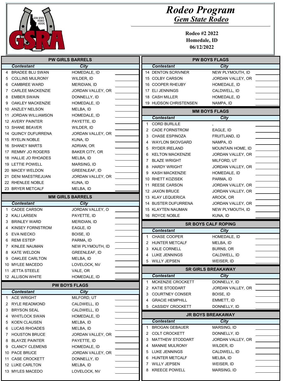

| <b>PW GIRLS BARRELS</b> |                                  |                           |   | <b>PW BOYS FLAGS</b>             |                            |  |
|-------------------------|----------------------------------|---------------------------|---|----------------------------------|----------------------------|--|
|                         | <b>Contestant</b>                | City                      |   | <b>Contestant</b>                | City                       |  |
|                         | 4 BRADEE BLU SWAN                | HOMEDALE, ID              |   | <b>14 DENTON SCRIVNER</b>        | NEW PLYMOUTH, ID           |  |
| 5.                      | <b>COLLINS MULRONY</b>           | WILDER, ID                |   | 15 COLBY CARSON                  | JORDAN VALLEY, OR          |  |
| 6                       | <b>CAMBREE WARD</b>              | MERIDIAN, ID              |   | 16 COOPER RHEUBY                 | HOMEDALE, ID               |  |
| 7                       | <b>CARLEE MACKENZIE</b>          | JORDAN VALLEY, OR         |   | 17 ELI JENNINGS                  | CALDWELL, ID               |  |
| 8                       | <b>EMBER SWAIN</b>               | DONNELLY, ID              |   | 18 CASH MILLER                   | HOMEDALE, ID               |  |
| 9                       | <b>OAKLEY MACKENZIE</b>          | HOMEDALE, ID              |   | 19 HUDSON CHRISTENSEN            | NAMPA, ID                  |  |
|                         | 10 ANZLEY NELSON                 | MELBA, ID                 |   |                                  | <b>MM BOYS FLAGS</b>       |  |
|                         | 11 JORDAN WILLIAMSON             | HOMEDALE, ID              |   | <b>Contestant</b>                | <b>City</b>                |  |
|                         | 12 AVERY PAINTER                 | PAYETTE, ID               |   | <b>CORD BURLILE</b><br>1         |                            |  |
|                         | 13 SHANE BEAVER                  | WILDER, ID                |   | <b>CADE FORNSTROM</b><br>2       | EAGLE, ID                  |  |
|                         | <b>14 QUINCY DUFURRENA</b>       | JORDAN VALLEY, OR         |   | <b>CHASE ESPINOZA</b><br>3       | FRUITLAND, ID              |  |
|                         | 15 RYELIN NOBLE                  | KUNA, ID                  | 4 | <b>WAYLON SKOVGARD</b>           | NAMPA, ID                  |  |
|                         | 16 SHANEY MARTS                  | ADRIAN, OR                | 5 | <b>RYDER IRELAND</b>             | MOUNTAIN HOME, ID          |  |
|                         | 17 REMMY JO ROGERS               | <b>BAKER CITY, OR</b>     | 6 | <b>KELTON MACKENZIE</b>          | JORDAN VALLEY, OR          |  |
|                         | 18 HALLIE JO RHOADES             | MELBA, ID                 | 7 | <b>BLAZE WRIGHT</b>              | MILFORD, UT                |  |
|                         | 19 LETTIE POWELL                 | MARSING, ID               | 8 | <b>HARDY WRIGHT</b>              | JORDAN VALLEY, OR          |  |
|                         | 20 MACEY WELDON                  | <b>GREENLEAF, ID</b>      | 9 | <b>KASH MACKENZIE</b>            | HOMEDALE, ID               |  |
|                         | 21 DENI MAESTREJUAN              | JORDAN VALLEY, OR         |   | 10 RHETT KOZISEK                 | PARMA, ID                  |  |
|                         | 22 RHENLEE NOBLE                 | KUNA, ID                  |   | <b>REESE CARSON</b><br>11        | JORDAN VALLEY, OR          |  |
|                         | 23 BRYER METCALF                 | MELBA, ID                 |   | 12 JAXON BRUCE                   | JORDAN VALLEY, OR          |  |
|                         |                                  | <b>MM GIRLS BARRELS</b>   |   | 13 KLAY LEQUERICA                | AROCK, OR                  |  |
|                         | <b>Contestant</b>                | City                      |   | 14 BUSTER DUFURRENA              | JORDAN VALLEY, OR          |  |
| 1                       | <b>CADEE CARSON</b>              | JORDAN VALLEY, O          |   | 15 KLAYTEN NAUMAN                | NEW PLYMOUTH, ID           |  |
| 2                       | <b>KALI LARSEN</b>               | PAYETTE, ID               |   |                                  | KUNA, ID                   |  |
|                         |                                  |                           |   |                                  |                            |  |
| 3                       | <b>BRINLEY WARD</b>              | MERIDIAN, ID              |   | 16 ROYCE NOBLE                   |                            |  |
|                         | KINSEY FORNSTROM                 | EAGLE, ID                 |   |                                  | <b>SR BOYS CALF ROPING</b> |  |
| 5.                      | <b>EVA NIECKO</b>                | BOISE, ID                 |   | <b>Contestant</b>                | <b>City</b>                |  |
| 6                       | <b>REMI ESTEP</b>                | PARMA, ID                 |   | <b>CHASE COOPER</b><br>1         | HOMEDALE, ID               |  |
| 7                       | KINLEE NAUMAN                    | NEW PLYMOUTH, ID          |   | <b>HUNTER METCALF</b><br>2       | MELBA, ID                  |  |
| 8                       | <b>KATE WELDON</b>               | <b>GREENLEAF, ID</b>      |   | KALE CORNELL<br>3                | <b>BURNS, OR</b>           |  |
| 9                       | <b>OAKLEE CARLTON</b>            | MELBA, ID                 | 4 | LUKE JENNINGS                    | CALDWELL, ID               |  |
|                         | 10 MYLEE MACEDO                  | LOVELOCK, NV              |   | 5 WILLY JEPSEN                   | WEISER, ID                 |  |
|                         | 11 JETTA STEELE                  | VALE, OR                  |   |                                  | <b>SR GIRLS BREAKAWAY</b>  |  |
|                         | 12 ALLISON WHITE                 | HOMEDALE, ID              |   | <b>Contestant</b>                | City                       |  |
|                         |                                  |                           | 1 | MCKENZIE CROCKETT                | DONNELLY, ID               |  |
|                         |                                  | <b>PW BOYS FLAGS</b>      |   | KATIE STODDART<br>$\overline{2}$ | JORDAN VALLEY, OR          |  |
|                         | <b>Contestant</b>                | <b>City</b>               |   | <b>COURTNEY CONSER</b><br>3      | BOISE, ID                  |  |
|                         | 1 ACE WRIGHT                     | MILFORD, UT               |   | <b>GRACIE HEMPHILL</b><br>4      | EMMETT, ID                 |  |
|                         | 2 RYLE READMOND                  | CALDWELL, ID              |   | <b>CASSIDY CROCKETT</b><br>5     | DONNELLY, ID               |  |
|                         | 3 BRYSON SEAL<br>4 WHITLOCK SWAN | CALDWELL, ID              |   |                                  | <b>JR BOYS BREAKAWAY</b>   |  |
| 5.                      | KOEN CLAUSEN                     | HOMEDALE, ID<br>MELBA, ID |   | <b>Contestant</b>                | <b>City</b>                |  |
| 6.                      | LUCAS RHOADES                    | MELBA, ID                 |   | <b>BROGAN GEBAUER</b><br>1       | MARSING, ID                |  |
| 7.                      | <b>HOUSTON BRUCE</b>             | JORDAN VALLEY, OR         |   | <b>COLT CROCKETT</b><br>2        | DONNELLY, ID               |  |
| 8                       | <b>BLAYZE PAINTER</b>            | PAYETTE, ID               |   | MATTHEW STODDART<br>3            | JORDAN VALLEY, OR          |  |
| 9                       | <b>CLANCY CLEMENS</b>            | HOMEDALE, ID              | 4 | <b>MANNIE MULRONY</b>            | WILDER, ID                 |  |
|                         | 10 PACE BRUCE                    | JORDAN VALLEY, OR         |   | LUKE JENNINGS<br>5               | CALDWELL, ID               |  |
|                         | 11 CASE CROCKETT                 | DONNELLY, ID              |   | HUNTER METCALF<br>6              | MELBA, ID                  |  |
|                         | 12 LUKE CARLTON                  | MELBA, ID                 |   | WILLY JEPSEN<br>7                | WEISER, ID                 |  |
|                         | 13 MYLES MACEDO                  | LOVELOCK, NV              |   | <b>KREECE POWELL</b><br>8        | MARSING, ID                |  |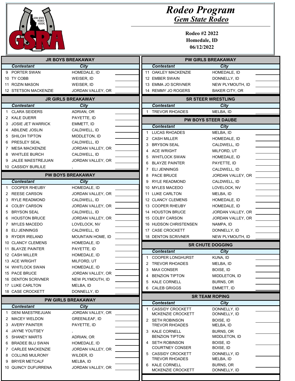

| <b>JR BOYS BREAKAWAY</b> |                          |                           | <b>PW GIRLS BREAKAWAY</b> |                                              |                              |  |
|--------------------------|--------------------------|---------------------------|---------------------------|----------------------------------------------|------------------------------|--|
|                          | <b>Contestant</b>        | City                      |                           | <b>Contestant</b>                            | <b>City</b>                  |  |
| 9                        | PORTER SWAN              | HOMEDALE, ID              |                           | 11 OAKLEY MACKENZIE                          | HOMEDALE, ID                 |  |
|                          | 10 TY COBB               | WEISER, ID                |                           | 12 EMBER SWAIN                               | DONNELLY, ID                 |  |
|                          | 11 ROZIN MASON           | WEISER, ID                |                           | 13 EMMA JO SCRIVNER                          | NEW PLYMOUTH, ID             |  |
|                          | 12 STETSON MACKENZIE     | JORDAN VALLEY, OR         |                           | 14 REMMY JO ROGERS                           | <b>BAKER CITY, OR</b>        |  |
|                          |                          | <b>JR GIRLS BREAKAWAY</b> |                           |                                              | <b>SR STEER WRESTLING</b>    |  |
|                          | <b>Contestant</b>        | City                      |                           | <b>Contestant</b>                            | City                         |  |
|                          | <b>CLARA SEIDERS</b>     | ADRIAN, OR                |                           | 1 TREVOR RHOADES                             | MELBA, ID                    |  |
|                          | 2 KALE DUERR             | PAYETTE, ID               |                           |                                              | <b>PW BOYS STEER DAUBE</b>   |  |
|                          | <b>JOSIE JET WARRICK</b> | EMMETT, ID                |                           | <b>Contestant</b>                            | <b>City</b>                  |  |
|                          | <b>ABILENE JOSLIN</b>    | CALDWELL, ID              |                           | <b>LUCAS RHOADES</b>                         | MELBA, ID                    |  |
| 5                        | <b>SHILOH TIPTON</b>     | MIDDLETON, ID             |                           | <b>CASH MILLER</b><br>2                      | HOMEDALE, ID                 |  |
| 6                        | PRESLEY SEAL             | CALDWELL, ID              |                           | <b>BRYSON SEAL</b><br>3                      | CALDWELL, ID                 |  |
|                          | <b>MESA MACKENZIE</b>    | JORDAN VALLEY, OR         |                           | <b>ACE WRIGHT</b><br>4                       | MILFORD, UT                  |  |
| 8                        | <b>WHITLEE BURCH</b>     | CALDWELL, ID              |                           | 5<br><b>WHITLOCK SWAN</b>                    | HOMEDALE, ID                 |  |
| 9                        | JALEE MAESTREJUAN        | JORDAN VALLEY, OR         |                           | 6<br><b>BLAYZE PAINTER</b>                   | PAYETTE, ID                  |  |
|                          | 10 CASSIDY BURLILE       |                           |                           | <b>ELI JENNINGS</b><br>7                     | CALDWELL, ID                 |  |
|                          |                          | <b>PW BOYS BREAKAWAY</b>  |                           | <b>PACE BRUCE</b><br>8                       | JORDAN VALLEY, OR            |  |
|                          | <b>Contestant</b>        | <b>City</b>               |                           | <b>RYLE READMOND</b><br>9                    | CALDWELL, ID                 |  |
|                          | <b>COOPER RHEUBY</b>     | HOMEDALE, ID              |                           | 10 MYLES MACEDO                              | LOVELOCK, NV                 |  |
| 2                        | <b>REESE CARSON</b>      | JORDAN VALLEY, OR         |                           | 11 LUKE CARLTON                              | MELBA, ID                    |  |
| 3                        | <b>RYLE READMOND</b>     | CALDWELL, ID              |                           | 12 CLANCY CLEMENS                            | HOMEDALE, ID                 |  |
| 4                        | <b>COLBY CARSON</b>      | JORDAN VALLEY, OR         |                           | 13 COOPER RHEUBY                             | HOMEDALE, ID                 |  |
| 5                        | <b>BRYSON SEAL</b>       | CALDWELL, ID              |                           | 14 HOUSTON BRUCE                             | JORDAN VALLEY, OR            |  |
| 6                        | <b>HOUSTON BRUCE</b>     | JORDAN VALLEY, OR         |                           | 15 COLBY CARSON                              | JORDAN VALLEY, OR            |  |
|                          | <b>MYLES MACEDO</b>      | LOVELOCK, NV              |                           | 16 HUDSON CHRISTENSEN                        | NAMPA, ID                    |  |
| 8                        | <b>ELI JENNINGS</b>      | CALDWELL, ID              |                           | 17 CASE CROCKETT                             | DONNELLY, ID                 |  |
| 9                        | <b>RYDER IRELAND</b>     | MOUNTAIN HOME, ID         |                           | 18 DENTON SCRIVNER                           | NEW PLYMOUTH, ID             |  |
|                          | 10 CLANCY CLEMENS        | HOMEDALE, ID              |                           |                                              |                              |  |
|                          | 11 BLAYZE PAINTER        | PAYETTE, ID               |                           |                                              | <b>SR CHUTE DOGGING</b>      |  |
|                          | 12 CASH MILLER           | HOMEDALE, ID              |                           | <b>Contestant</b>                            | <b>City</b>                  |  |
|                          | 13 ACE WRIGHT            | MILFORD, UT               |                           | <b>COOPER LONGHURST</b><br>1                 | KUNA, ID                     |  |
|                          | 14 WHITLOCK SWAN         | HOMEDALE, ID              |                           | 2 TREVOR RHOADES                             | MELBA, ID                    |  |
|                          | 15 PACE BRUCE            | JORDAN VALLEY, OR         |                           | 3<br>MAX CONSER                              | BOISE, ID                    |  |
|                          | 16 DENTON SCRIVNER       | NEW PLYMOUTH, ID          |                           | <b>BENZION TIPTON</b><br>4                   | MIDDLETON, ID                |  |
|                          | 17 LUKE CARLTON          | MELBA, ID                 |                           | KALE CORNELL<br>5                            | BURNS, OR                    |  |
|                          | 18 CASE CROCKETT         | DONNELLY, ID              |                           | <b>CALEB GRIGGS</b><br>6                     | EMMETT, ID                   |  |
|                          |                          | <b>PW GIRLS BREAKAWAY</b> |                           | <b>SR TEAM ROPING</b>                        |                              |  |
|                          | <b>Contestant</b>        | City                      |                           | <b>Contestant</b><br><b>CASSIDY CROCKETT</b> | <b>City</b>                  |  |
|                          | <b>DENI MAESTREJUAN</b>  | JORDAN VALLEY, OR         |                           | MCKENZIE CROCKETT                            | DONNELLY, ID<br>DONNELLY, ID |  |
| 2                        | MACEY WELDON             | <b>GREENLEAF, ID</b>      |                           | 2 SETH ROBINSON                              | BOISE, ID                    |  |
|                          | 3 AVERY PAINTER          | PAYETTE, ID               |                           | <b>TREVOR RHOADES</b>                        | MELBA, ID                    |  |
| 4                        | <b>JAYNE YOUTSEY</b>     |                           |                           | 3 KALE CORNELL                               | <b>BURNS, OR</b>             |  |
| 5                        | <b>SHANEY MARTS</b>      | ADRIAN, OR                |                           | <b>BENZION TIPTON</b>                        | MIDDLETON, ID                |  |
| 6                        | <b>BRADEE BLU SWAN</b>   | HOMEDALE, ID              |                           | 4 SETH ROBINSON                              | BOISE, ID                    |  |
| 7                        | <b>CARLEE MACKENZIE</b>  | JORDAN VALLEY, OR         |                           | <b>COURTNEY CONSER</b>                       | BOISE, ID                    |  |
| 8                        | <b>COLLINS MULRONY</b>   | WILDER, ID                |                           | 5 CASSIDY CROCKETT                           | DONNELLY, ID                 |  |
| 9                        | <b>BRYER METCALF</b>     | MELBA, ID                 |                           | <b>TREVOR RHOADES</b>                        | MELBA, ID                    |  |
|                          | 10 QUINCY DUFURRENA      | JORDAN VALLEY, OR         |                           | 6 KALE CORNELL<br>MCKENZIE CROCKETT          | BURNS, OR<br>DONNELLY, ID    |  |
|                          |                          |                           |                           |                                              |                              |  |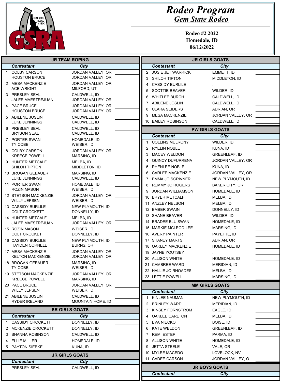

|                                    | <b>JR TEAM ROPING</b>                        |                                      |  | <b>JR GIRLS GOATS</b>                  |                            |  |
|------------------------------------|----------------------------------------------|--------------------------------------|--|----------------------------------------|----------------------------|--|
| <b>Contestant</b><br>City          |                                              |                                      |  | <b>Contestant</b>                      | City                       |  |
|                                    | <b>COLBY CARSON</b>                          | JORDAN VALLEY, OR                    |  | 2 JOSIE JET WARRICK                    | EMMETT, ID                 |  |
|                                    | <b>HOUSTON BRUCE</b>                         | JORDAN VALLEY, OR                    |  | SHILOH TIPTON<br>3                     | MIDDLETON, ID              |  |
|                                    | 2 MESA MACKENZIE                             | JORDAN VALLEY, OR                    |  | <b>CASSIDY BURLILE</b><br>4            |                            |  |
|                                    | <b>ACE WRIGHT</b>                            | MILFORD, UT                          |  | <b>SCOTTIE BEAVER</b><br>5             | WILDER, ID                 |  |
|                                    | 3 PRESLEY SEAL                               | CALDWELL, ID                         |  | <b>WHITLEE BURCH</b><br>6              | CALDWELL, ID               |  |
|                                    | <b>JALEE MAESTREJUAN</b>                     | JORDAN VALLEY, OR                    |  | <b>ABILENE JOSLIN</b><br>7             | CALDWELL, ID               |  |
|                                    | 4 PACE BRUCE                                 | JORDAN VALLEY, OR                    |  | <b>CLARA SEIDERS</b><br>8              | ADRIAN, OR                 |  |
|                                    | <b>HOUSTON BRUCE</b>                         | JORDAN VALLEY, OR                    |  | 9<br><b>MESA MACKENZIE</b>             | JORDAN VALLEY, OR          |  |
|                                    | 5 ABILENE JOSLIN<br><b>LUKE JENNINGS</b>     | CALDWELL, ID<br>CALDWELL, ID         |  | 10 BAILEY ROBINSON                     | CALDWELL, ID               |  |
|                                    | 6 PRESLEY SEAL<br><b>BRYSON SEAL</b>         | CALDWELL, ID<br>CALDWELL, ID         |  |                                        | <b>PW GIRLS GOATS</b>      |  |
|                                    | 7 PORTER SWAN                                | HOMEDALE, ID                         |  | <b>Contestant</b>                      | City                       |  |
|                                    | TY COBB                                      | WEISER, ID                           |  | <b>COLLINS MULRONY</b>                 | WILDER, ID                 |  |
|                                    | 8 COLBY CARSON                               | JORDAN VALLEY, OR                    |  | <b>RYELIN NOBLE</b><br>2               | KUNA, ID                   |  |
|                                    | <b>KREECE POWELL</b>                         | MARSING, ID                          |  | <b>MACEY WELDON</b><br>3               | GREENLEAF, ID              |  |
| 9                                  | <b>HUNTER METCALF</b>                        | MELBA, ID                            |  | <b>QUINCY DUFURRENA</b>                | JORDAN VALLEY, OR          |  |
|                                    | <b>SHILOH TIPTON</b>                         | MIDDLETON, ID                        |  | <b>RHENLEE NOBLE</b><br>5              | KUNA, ID                   |  |
|                                    | 10 BROGAN GEBAUER                            | MARSING, ID                          |  | <b>CARLEE MACKENZIE</b><br>6           | JORDAN VALLEY, OR          |  |
|                                    | <b>LUKE JENNINGS</b>                         | CALDWELL, ID                         |  | <b>EMMA JO SCRIVNER</b><br>7           | NEW PLYMOUTH, ID           |  |
|                                    | 11 PORTER SWAN<br><b>ROZIN MASON</b>         | HOMEDALE, ID<br>WEISER, ID           |  | <b>REMMY JO ROGERS</b><br>8            | <b>BAKER CITY, OR</b>      |  |
|                                    | 12 STETSON MACKENZIE                         | JORDAN VALLEY, OR                    |  | 9<br><b>JORDAN WILLIAMSON</b>          | HOMEDALE, ID               |  |
|                                    | <b>WILLY JEPSEN</b>                          | WEISER, ID                           |  | <b>BRYER METCALF</b><br>10             | MELBA, ID                  |  |
|                                    | 13 CASSIDY BURLILE                           | NEW PLYMOUTH, ID                     |  | 11 ANZLEY NELSON                       | MELBA, ID                  |  |
|                                    | <b>COLT CROCKETT</b>                         | DONNELLY, ID                         |  | 12 EMBER SWAIN                         | DONNELLY, ID               |  |
|                                    | 14 HUNTER METCALF                            | MELBA, ID                            |  | 13 SHANE BEAVER                        | WILDER, ID                 |  |
|                                    | <b>JALEE MAESTREJUAN</b>                     | JORDAN VALLEY, OR                    |  | 14 BRADEE BLU SWAN                     | HOMEDALE, ID               |  |
|                                    | 15 ROZIN MASON                               | WEISER, ID                           |  | 15 MARKIE MCLEOD-LEE                   | MARSING, ID                |  |
|                                    | <b>COLT CROCKETT</b>                         | DONNELLY, ID                         |  | 16 AVERY PAINTER                       | PAYETTE, ID                |  |
|                                    | 16 CASSIDY BURLILE<br><b>HAYDEN CORNELL</b>  | NEW PLYMOUTH, ID<br><b>BURNS, OR</b> |  | 17 SHANEY MARTS<br>18 OAKLEY MACKENZIE | ADRIAN, OR<br>HOMEDALE, ID |  |
|                                    | 17 MESA MACKENZIE                            | JORDAN VALLEY, OR                    |  | 19 JAYNE YOUTSEY                       |                            |  |
|                                    | <b>KELTON MACKENZIE</b>                      | JORDAN VALLEY, OR                    |  | 20 ALLISON WHITE                       | HOMEDALE, ID               |  |
|                                    | 18 BROGAN GEBAUER                            | MARSING, ID                          |  | 21 CAMBREE WARD                        | MERIDIAN, ID               |  |
|                                    | TY COBB                                      | WEISER, ID                           |  | 22 HALLIE JO RHOADES                   | MELBA, ID                  |  |
|                                    | 19 STETSON MACKENZIE<br><b>KREECE POWELL</b> | JORDAN VALLEY, OR<br>MARSING, ID     |  | 23 LETTIE POWELL                       | MARSING, ID                |  |
|                                    | 20 PACE BRUCE                                | JORDAN VALLEY, OR                    |  | <b>MM GIRLS GOATS</b>                  |                            |  |
|                                    | WILLY JEPSEN                                 | WEISER, ID                           |  | <b>Contestant</b>                      | City                       |  |
|                                    | 21 ABILENE JOSLIN                            | CALDWELL, ID                         |  | KINLEE NAUMAN                          | NEW PLYMOUTH, ID           |  |
|                                    | <b>RYDER IRELAND</b>                         | MOUNTAIN HOME, ID                    |  | BRINLEY WARD<br>2                      | MERIDIAN, ID               |  |
|                                    | <b>SR GIRLS GOATS</b>                        |                                      |  | <b>KINSEY FORNSTROM</b><br>3           | EAGLE, ID                  |  |
|                                    | <b>Contestant</b>                            | <b>City</b>                          |  | <b>OAKLEE CARLTON</b>                  | MELBA, ID                  |  |
|                                    | <b>CASSIDY CROCKETT</b>                      | DONNELLY, ID                         |  | EVA NIECKO<br>5                        | BOISE, ID                  |  |
|                                    | 2 MCKENZIE CROCKETT                          | DONNELLY, ID                         |  | KATE WELDON<br>6                       | <b>GREENLEAF, ID</b>       |  |
| 3                                  | SHANNA ROBINSON                              | CALDWELL, ID                         |  | 7 REMI ESTEP                           | PARMA, ID                  |  |
| 4                                  | <b>ELLIE MILLER</b>                          | HOMEDALE, ID                         |  | 8 ALLISON WHITE                        | HOMEDALE, ID               |  |
|                                    | 5 PAYTON SIEBKE                              | kuna, Id                             |  | 9 JETTA STEELE                         | VALE, OR                   |  |
|                                    |                                              | <b>JR GIRLS GOATS</b>                |  | 10 MYLEE MACEDO                        | LOVELOCK, NV               |  |
|                                    | <b>Contestant</b>                            | <b>City</b>                          |  | 11 CADEE CARSON                        | JORDAN VALLEY, O           |  |
| PRESLEY SEAL<br>CALDWELL, ID<br>1. |                                              |                                      |  |                                        | <b>JR BOYS GOATS</b>       |  |
|                                    |                                              |                                      |  | <b>Contestant</b>                      | <b>City</b>                |  |
|                                    |                                              |                                      |  |                                        |                            |  |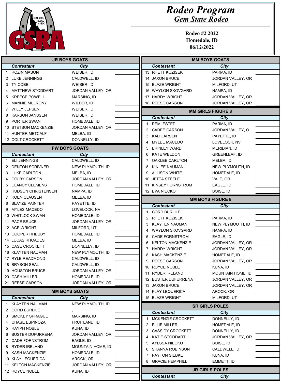

| <b>JR BOYS GOATS</b> |                           |                      | <b>MM BOYS GOATS</b> |                         |                          |  |
|----------------------|---------------------------|----------------------|----------------------|-------------------------|--------------------------|--|
|                      | <b>Contestant</b>         | City                 |                      | <b>Contestant</b>       | City                     |  |
|                      | <b>ROZIN MASON</b>        | WEISER, ID           |                      | 13 RHETT KOZISEK        | PARMA, ID                |  |
|                      | 2 LUKE JENNINGS           | CALDWELL, ID         |                      | 14 JAXON BRUCE          | JORDAN VALLEY, OR        |  |
|                      | 3 TY COBB                 | WEISER, ID           |                      | 15 BLAZE WRIGHT         | MILFORD, UT              |  |
|                      | <b>MATTHEW STODDART</b>   | JORDAN VALLEY, OR    |                      | 16 WAYLON SKOVGARD      | NAMPA, ID                |  |
| 5                    | <b>KREECE POWELL</b>      | MARSING, ID          |                      | 17 HARDY WRIGHT         | JORDAN VALLEY, OR        |  |
| 6                    | <b>MANNIE MULRONY</b>     | WILDER, ID           |                      | 18 REESE CARSON         | JORDAN VALLEY, OR        |  |
| 7                    | <b>WILLY JEPSEN</b>       | WEISER, ID           |                      |                         | <b>MM GIRLS FIGURE 8</b> |  |
| 8                    | <b>KARSON JANSSEN</b>     | WEISER, ID           |                      | <b>Contestant</b>       | City                     |  |
| 9                    | <b>PORTER SWAN</b>        | HOMEDALE, ID         | 1                    | <b>REMI ESTEP</b>       | PARMA, ID                |  |
|                      | 10 STETSON MACKENZIE      | JORDAN VALLEY, OR    | 2                    | <b>CADEE CARSON</b>     | JORDAN VALLEY, O         |  |
|                      | 11 HUNTER METCALF         | MELBA, ID            | 3                    | <b>KALI LARSEN</b>      | PAYETTE, ID              |  |
|                      | 12 COLT CROCKETT          | DONNELLY, ID         | 4                    | <b>MYLEE MACEDO</b>     | LOVELOCK, NV             |  |
|                      |                           | <b>PW BOYS GOATS</b> | 5                    | <b>BRINLEY WARD</b>     | MERIDIAN, ID             |  |
|                      | <b>Contestant</b>         | <b>City</b>          | 6                    | <b>KATE WELDON</b>      | <b>GREENLEAF, ID</b>     |  |
| 1                    | <b>ELI JENNINGS</b>       | CALDWELL, ID         | 7                    | <b>OAKLEE CARLTON</b>   | MELBA, ID                |  |
|                      | 2 DENTON SCRIVNER         | NEW PLYMOUTH, ID     | 8                    | KINLEE NAUMAN           | NEW PLYMOUTH, ID         |  |
| 3                    | LUKE CARLTON              | MELBA, ID            | 9                    | <b>ALLISON WHITE</b>    | HOMEDALE, ID             |  |
| 4                    | <b>COLBY CARSON</b>       | JORDAN VALLEY, OR    |                      | 10 JETTA STEELE         | VALE, OR                 |  |
| 5                    | <b>CLANCY CLEMENS</b>     | HOMEDALE, ID         |                      | 11 KINSEY FORNSTROM     | EAGLE, ID                |  |
| 6                    | <b>HUDSON CHRISTENSEN</b> | NAMPA, ID            |                      | 12 EVA NIECKO           | BOISE, ID                |  |
| 7                    | <b>KOEN CLAUSEN</b>       | MELBA, ID            |                      |                         | <b>MM BOYS FIGURE 8</b>  |  |
| 8                    | <b>BLAYZE PAINTER</b>     | PAYETTE, ID          |                      | <b>Contestant</b>       |                          |  |
| 9                    | <b>MYLES MACEDO</b>       | LOVELOCK, NV         |                      |                         | City                     |  |
|                      | 10 WHITLOCK SWAN          | HOMEDALE, ID         |                      | <b>CORD BURLILE</b>     |                          |  |
|                      | 11 PACE BRUCE             | JORDAN VALLEY, OR    | 2                    | <b>RHETT KOZISEK</b>    | PARMA, ID                |  |
|                      | 12 ACE WRIGHT             | MILFORD, UT          | 3                    | <b>KLAYTEN NAUMAN</b>   | NEW PLYMOUTH, ID         |  |
|                      | 13 COOPER RHEUBY          | HOMEDALE, ID         | 4                    | <b>WAYLON SKOVGARD</b>  | NAMPA, ID                |  |
|                      | 14 LUCAS RHOADES          | MELBA, ID            | 5                    | <b>CADE FORNSTROM</b>   | EAGLE, ID                |  |
|                      | 15 CASE CROCKETT          | DONNELLY, ID         | 6                    | <b>KELTON MACKENZIE</b> | JORDAN VALLEY, OR        |  |
|                      | 16 KLAYTEN NAUMAN         | NEW PLYMOUTH, ID     | 7                    | <b>HARDY WRIGHT</b>     | JORDAN VALLEY, OR        |  |
|                      | 17 RYLE READMOND          | CALDWELL, ID         | 8                    | <b>KASH MACKENZIE</b>   | HOMEDALE, ID             |  |
|                      | 18 BRYSON SEAL            | CALDWELL, ID         | 9                    | <b>REESE CARSON</b>     | JORDAN VALLEY, OR        |  |
|                      | 19 HOUSTON BRUCE          | JORDAN VALLEY, OR    |                      | 10 ROYCE NOBLE          | KUNA, ID                 |  |
|                      | 20 CASH MILLER            | HOMEDALE, ID         |                      | 11 RYDER IRELAND        | MOUNTAIN HOME, ID        |  |
|                      | 21 REESE CARSON           | JORDAN VALLEY, OR    |                      | 12 BUSTER DUFURRENA     | JORDAN VALLEY, OR        |  |
|                      |                           |                      |                      | 13 JAXON BRUCE          | JORDAN VALLEY, OR        |  |
|                      |                           | <b>MM BOYS GOATS</b> |                      | 14 KLAY LEQUERICA       | AROCK, OR                |  |
|                      | <b>Contestant</b>         | City                 |                      | 15 BLAZE WRIGHT         | MILFORD, UT              |  |
|                      | <b>KLAYTEN NAUMAN</b>     | NEW PLYMOUTH, ID     |                      |                         | <b>SR GIRLS POLES</b>    |  |
| 2                    | <b>CORD BURLILE</b>       |                      |                      | <b>Contestant</b>       | <b>City</b>              |  |
| 3                    | <b>SMOKEY SPRAGUE</b>     | MARSING, ID          |                      | MCKENZIE CROCKETT       | DONNELLY, ID             |  |
| 4                    | <b>CHASE ESPINOZA</b>     | FRUITLAND, ID        | 2                    | <b>ELLIE MILLER</b>     | HOMEDALE, ID             |  |
| 5                    | RAYPH NOBLE               | KUNA, ID             | 3                    | <b>CASSIDY CROCKETT</b> | DONNELLY, ID             |  |
| 6                    | <b>BUSTER DUFURRENA</b>   | JORDAN VALLEY, OR    |                      | KATIE STODDART          | JORDAN VALLEY, OR        |  |
| 7                    | <b>CADE FORNSTROM</b>     | EAGLE, ID            | 5                    | AYLSSA NIECKO           | BOISE, ID                |  |
| 8                    | RYDER IRELAND             | MOUNTAIN HOME, ID    | 6                    | <b>SHANNA ROBINSON</b>  | CALDWELL, ID             |  |
| 9                    | <b>KASH MACKENZIE</b>     | HOMEDALE, ID         | 7                    | PAYTON SIEBKE           | KUNA, ID                 |  |
|                      | 10 KLAY LEQUERICA         | AROCK, OR            | 8                    | <b>GRACIE HEMPHILL</b>  |                          |  |
|                      | 11 KELTON MACKENZIE       | JORDAN VALLEY, OR    |                      |                         | EMMETT, ID               |  |
|                      | 12 ROYCE NOBLE            | KUNA, ID             |                      |                         | <b>JR GIRLS POLES</b>    |  |
|                      |                           |                      |                      | <b>Contestant</b>       | City                     |  |